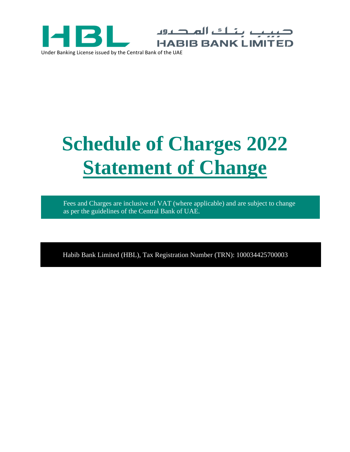



ب بناك المديون

**HABIB BANK LIMITED** 

Fees and Charges are inclusive of VAT (where applicable) and are subject to change as per the guidelines of the Central Bank of UAE.

Habib Bank Limited (HBL), Tax Registration Number (TRN): 100034425700003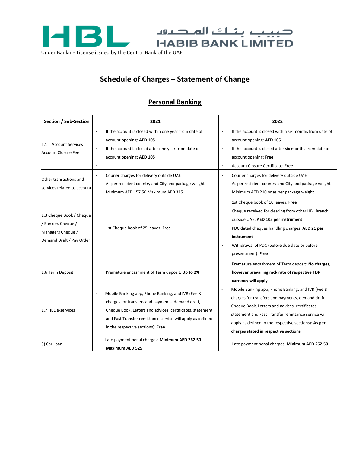

## **Schedule of Charges – Statement of Change**

## **Personal Banking**

| Section / Sub-Section                                                                           | 2021                                                                                                                                                                                                                                                                   | 2022                                                                                                                                                                                                                                                                                                                |
|-------------------------------------------------------------------------------------------------|------------------------------------------------------------------------------------------------------------------------------------------------------------------------------------------------------------------------------------------------------------------------|---------------------------------------------------------------------------------------------------------------------------------------------------------------------------------------------------------------------------------------------------------------------------------------------------------------------|
| 1.1 Account Services<br><b>Account Closure Fee</b>                                              | If the account is closed within one year from date of<br>$\overline{\phantom{a}}$<br>account opening: AED 105<br>If the account is closed after one year from date of<br>$\blacksquare$<br>account opening: AED 105<br>$\blacksquare$                                  | If the account is closed within six months from date of<br>$\overline{\phantom{a}}$<br>account opening: AED 105<br>If the account is closed after six months from date of<br>$\sim$<br>account opening: Free<br>Account Closure Certificate: Free<br>$\blacksquare$                                                 |
| Other transactions and<br>services related to account                                           | Courier charges for delivery outside UAE<br>As per recipient country and City and package weight<br>Minimum AED 157.50 Maximum AED 315                                                                                                                                 | Courier charges for delivery outside UAE<br>$\overline{a}$<br>As per recipient country and City and package weight<br>Minimum AED 210 or as per package weight                                                                                                                                                      |
| 1.3 Cheque Book / Cheque<br>/ Bankers Cheque /<br>Managers Cheque /<br>Demand Draft / Pay Order | 1st Cheque book of 25 leaves: Free                                                                                                                                                                                                                                     | 1st Cheque book of 10 leaves: Free<br>$\blacksquare$<br>Cheque received for clearing from other HBL Branch<br>$\overline{\phantom{a}}$<br>outside UAE: AED 105 per instrument<br>PDC dated cheques handling charges: AED 21 per<br>instrument<br>Withdrawal of PDC (before due date or before<br>presentment): Free |
| 1.6 Term Deposit                                                                                | Premature encashment of Term deposit: Up to 2%                                                                                                                                                                                                                         | Premature encashment of Term deposit: No charges,<br>$\blacksquare$<br>however prevailing rack rate of respective TDR<br>currency will apply                                                                                                                                                                        |
| 1.7 HBL e-services                                                                              | Mobile Banking app, Phone Banking, and IVR (Fee &<br>charges for transfers and payments, demand draft,<br>Cheque Book, Letters and advices, certificates, statement<br>and Fast Transfer remittance service will apply as defined<br>in the respective sections): Free | Mobile Banking app, Phone Banking, and IVR (Fee &<br>charges for transfers and payments, demand draft,<br>Cheque Book, Letters and advices, certificates,<br>statement and Fast Transfer remittance service will<br>apply as defined in the respective sections): As per<br>charges stated in respective sections   |
| 3) Car Loan                                                                                     | Late payment penal charges: Minimum AED 262.50<br><b>Maximum AED 525</b>                                                                                                                                                                                               | Late payment penal charges: Minimum AED 262.50                                                                                                                                                                                                                                                                      |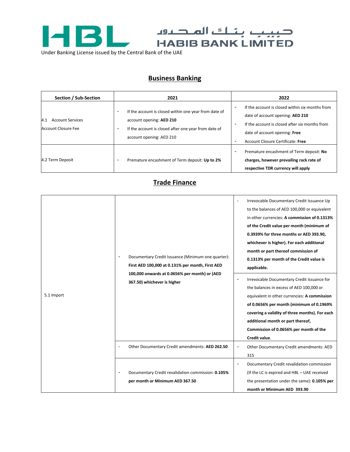

## **Business Banking**

| Section / Sub-Section                                        | 2021                                                                                                                                                                                                   | 2022                                                                                                                                                                                                                                                                |
|--------------------------------------------------------------|--------------------------------------------------------------------------------------------------------------------------------------------------------------------------------------------------------|---------------------------------------------------------------------------------------------------------------------------------------------------------------------------------------------------------------------------------------------------------------------|
| <b>Account Services</b><br>4.1<br><b>Account Closure Fee</b> | If the account is closed within one year from date of<br>۰<br>account opening: AED 210<br>If the account is closed after one year from date of<br>$\overline{\phantom{a}}$<br>account opening: AED 210 | If the account is closed within six months from<br>date of account opening: AED 210<br>If the account is closed after six months from<br>$\overline{\phantom{a}}$<br>date of account opening: Free<br>Account Closure Certificate: Free<br>$\overline{\phantom{a}}$ |
| 4.2 Term Deposit                                             | Premature encashment of Term deposit: Up to 2%<br>۰                                                                                                                                                    | Premature encashment of Term deposit: No<br>charges, however prevailing rack rate of<br>respective TDR currency will apply                                                                                                                                          |

## **Trade Finance**

| 5.1 Import | Documentary Credit Issuance (Minimum one quarter):<br>First AED 100,000 at 0.131% per month, First AED<br>100,000 onwards at 0.0656% per month) or (AED<br>367.50) whichever is higher | Irrevocable Documentary Credit Issuance Up<br>$\overline{\phantom{a}}$<br>to the balances of AED 100,000 or equivalent<br>in other currencies: A commission of 0.1313%<br>of the Credit value per month (minimum of<br>0.3939% for three months or AED 393.90,<br>whichever is higher). For each additional<br>month or part thereof commission of<br>0.1313% per month of the Credit value is<br>applicable.<br>Irrevocable Documentary Credit Issuance for<br>the balances in excess of AED 100,000 or<br>equivalent in other currencies: A commission<br>of 0.0656% per month (minimum of 0.1969%<br>covering a validity of three months). For each<br>additional month or part thereof,<br>Commission of 0.0656% per month of the<br>Credit value. |
|------------|----------------------------------------------------------------------------------------------------------------------------------------------------------------------------------------|--------------------------------------------------------------------------------------------------------------------------------------------------------------------------------------------------------------------------------------------------------------------------------------------------------------------------------------------------------------------------------------------------------------------------------------------------------------------------------------------------------------------------------------------------------------------------------------------------------------------------------------------------------------------------------------------------------------------------------------------------------|
|            | Other Documentary Credit amendments: AED 262.50                                                                                                                                        | Other Documentary Credit amendments: AED<br>$\overline{\phantom{0}}$<br>315                                                                                                                                                                                                                                                                                                                                                                                                                                                                                                                                                                                                                                                                            |
|            | Documentary Credit revalidation commission: 0.105%<br>per month or Minimum AED 367.50                                                                                                  | Documentary Credit revalidation commission<br>(If the LC is expired and HBL - UAE received<br>the presentation under the same): 0.105% per<br>month or Minimum AED 393.90                                                                                                                                                                                                                                                                                                                                                                                                                                                                                                                                                                              |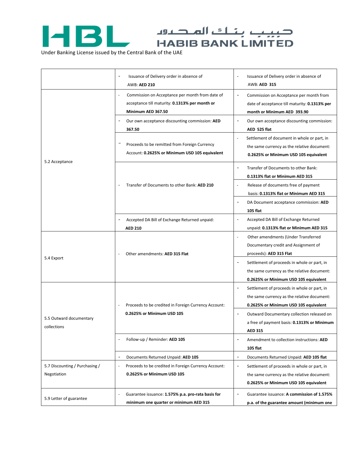

CHABIB BANK LIMITED

Under Banking License issued by the Central Bank of the UAE

|                                               | Issuance of Delivery order in absence of<br><b>AWB: AED 210</b>                                                         | Issuance of Delivery order in absence of<br><b>AWB: AED 315</b>                                                                                                                                                                                                                                                                                     |
|-----------------------------------------------|-------------------------------------------------------------------------------------------------------------------------|-----------------------------------------------------------------------------------------------------------------------------------------------------------------------------------------------------------------------------------------------------------------------------------------------------------------------------------------------------|
|                                               | Commission on Acceptance per month from date of<br>acceptance till maturity: 0.1313% per month or<br>Minimum AED 367.50 | $\overline{\phantom{a}}$<br>Commission on Acceptance per month from<br>date of acceptance till maturity: 0.1313% per<br>month or Minimum AED 393.90                                                                                                                                                                                                 |
|                                               | Our own acceptance discounting commission: AED<br>367.50                                                                | $\overline{\phantom{a}}$<br>Our own acceptance discounting commission:<br>AED 525 flat                                                                                                                                                                                                                                                              |
|                                               | Proceeds to be remitted from Foreign Currency<br>Account: 0.2625% or Minimum USD 105 equivalent                         | Settlement of document in whole or part, in<br>$\blacksquare$<br>the same currency as the relative document:<br>0.2625% or Minimum USD 105 equivalent                                                                                                                                                                                               |
| 5.2 Acceptance                                |                                                                                                                         | Transfer of Documents to other Bank:<br>$\overline{\phantom{0}}$<br>0.1313% flat or Minimum AED 315                                                                                                                                                                                                                                                 |
|                                               | Transfer of Documents to other Bank: AED 210                                                                            | Release of documents free of payment<br>basis: 0.1313% flat or Minimum AED 315                                                                                                                                                                                                                                                                      |
|                                               | Accepted DA Bill of Exchange Returned unpaid:                                                                           | DA Document acceptance commission: AED<br><b>105 flat</b><br>Accepted DA Bill of Exchange Returned<br>$\overline{\phantom{a}}$                                                                                                                                                                                                                      |
|                                               | <b>AED 210</b>                                                                                                          | unpaid: 0.1313% flat or Minimum AED 315                                                                                                                                                                                                                                                                                                             |
| 5.4 Export                                    | Other amendments: AED 315 Flat                                                                                          | Other amendments (Under Transferred<br>$\overline{a}$<br>Documentary credit and Assignment of<br>proceeds): AED 315 Flat<br>Settlement of proceeds in whole or part, in<br>$\overline{\phantom{a}}$<br>the same currency as the relative document:                                                                                                  |
| 5.5 Outward documentary<br>collections        | Proceeds to be credited in Foreign Currency Account:<br>0.2625% or Minimum USD 105                                      | 0.2625% or Minimum USD 105 equivalent<br>Settlement of proceeds in whole or part, in<br>$\overline{\phantom{a}}$<br>the same currency as the relative document:<br>0.2625% or Minimum USD 105 equivalent<br>Outward Documentary collection released on<br>$\overline{\phantom{a}}$<br>a free of payment basis: 0.1313% or Minimum<br><b>AED 315</b> |
|                                               | Follow-up / Reminder: AED 105                                                                                           | Amendment to collection instructions: AED<br>$\overline{\phantom{a}}$<br>105 flat                                                                                                                                                                                                                                                                   |
|                                               | Documents Returned Unpaid: AED 105<br>$\overline{a}$                                                                    | Documents Returned Unpaid: AED 105 flat<br>$\overline{\phantom{a}}$                                                                                                                                                                                                                                                                                 |
| 5.7 Discounting / Purchasing /<br>Negotiation | Proceeds to be credited in Foreign Currency Account:<br>0.2625% or Minimum USD 105                                      | Settlement of proceeds in whole or part, in<br>$\overline{\phantom{a}}$<br>the same currency as the relative document:<br>0.2625% or Minimum USD 105 equivalent                                                                                                                                                                                     |
| 5.9 Letter of guarantee                       | Guarantee issuance: 1.575% p.a. pro-rata basis for<br>minimum one quarter or minimum AED 315                            | Guarantee issuance: A commission of 1.575%<br>$\overline{\phantom{a}}$<br>p.a. of the guarantee amount (minimum one                                                                                                                                                                                                                                 |